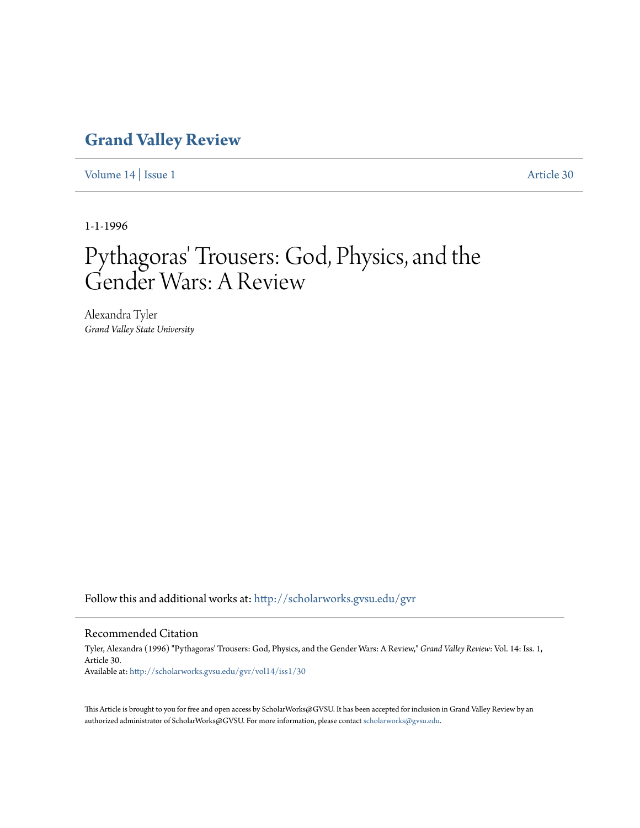## **[Grand Valley Review](http://scholarworks.gvsu.edu/gvr?utm_source=scholarworks.gvsu.edu%2Fgvr%2Fvol14%2Fiss1%2F30&utm_medium=PDF&utm_campaign=PDFCoverPages)**

[Volume 14](http://scholarworks.gvsu.edu/gvr/vol14?utm_source=scholarworks.gvsu.edu%2Fgvr%2Fvol14%2Fiss1%2F30&utm_medium=PDF&utm_campaign=PDFCoverPages) | [Issue 1](http://scholarworks.gvsu.edu/gvr/vol14/iss1?utm_source=scholarworks.gvsu.edu%2Fgvr%2Fvol14%2Fiss1%2F30&utm_medium=PDF&utm_campaign=PDFCoverPages) [Article 30](http://scholarworks.gvsu.edu/gvr/vol14/iss1/30?utm_source=scholarworks.gvsu.edu%2Fgvr%2Fvol14%2Fiss1%2F30&utm_medium=PDF&utm_campaign=PDFCoverPages)

1-1-1996

# Pythagoras' Trousers: God, Physics, and the Gender Wars: A Review

Alexandra Tyler *Grand Valley State University*

Follow this and additional works at: [http://scholarworks.gvsu.edu/gvr](http://scholarworks.gvsu.edu/gvr?utm_source=scholarworks.gvsu.edu%2Fgvr%2Fvol14%2Fiss1%2F30&utm_medium=PDF&utm_campaign=PDFCoverPages)

#### Recommended Citation

Tyler, Alexandra (1996) "Pythagoras' Trousers: God, Physics, and the Gender Wars: A Review," *Grand Valley Review*: Vol. 14: Iss. 1, Article 30. Available at: [http://scholarworks.gvsu.edu/gvr/vol14/iss1/30](http://scholarworks.gvsu.edu/gvr/vol14/iss1/30?utm_source=scholarworks.gvsu.edu%2Fgvr%2Fvol14%2Fiss1%2F30&utm_medium=PDF&utm_campaign=PDFCoverPages)

This Article is brought to you for free and open access by ScholarWorks@GVSU. It has been accepted for inclusion in Grand Valley Review by an authorized administrator of ScholarWorks@GVSU. For more information, please contact [scholarworks@gvsu.edu.](mailto:scholarworks@gvsu.edu)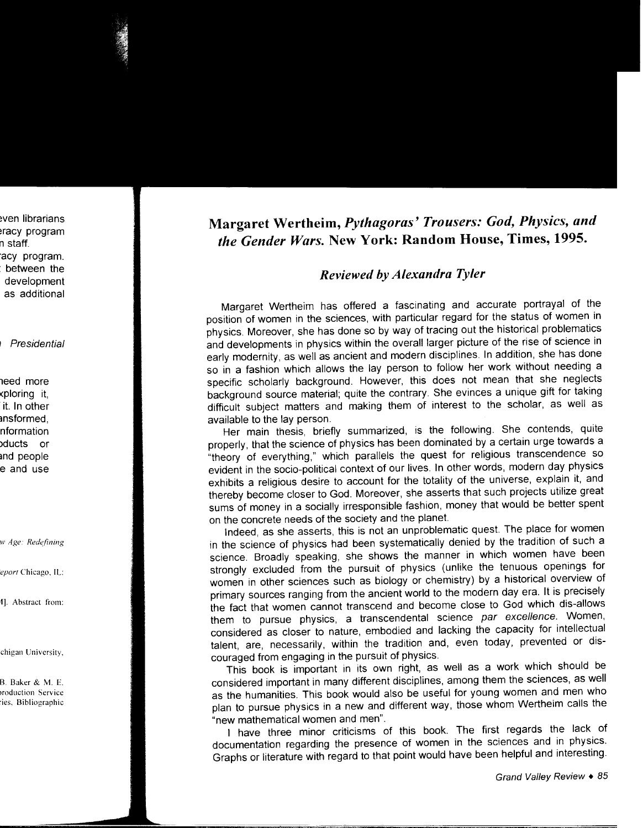### **Margaret Wertheim,** *Pythagoras' Trousers: God, Physics, and the Gender Wars.* **New York: Random House, Times, 1995.**

#### *Reviewed by Alexandra Tyler*

Margaret Wertheim has offered a fascinating and accurate portrayal of the position of women in the sciences, with particular regard for the status of women in physics. Moreover, she has done so by way of tracing out the historical problematics and developments in physics within the overall larger picture of the rise of science in early modernity, as well as ancient and modern disciplines. In addition, she has done so in a fashion which allows the lay person to follow her work without needing a specific scholarly background. However, this does not mean that she neglects background source material; quite the contrary. She evinces a unique gift for taking difficult subject matters and making them of interest to the scholar, as well as available to the lay person.

Her main thesis, briefly summarized, is the following. She contends, quite properly, that the science of physics has been dominated by a certain urge towards a "theory of everything," which parallels the quest for religious transcendence so evident in the socio-political context of our lives. In other words, modern day physics exhibits a religious desire to account for the totality of the universe, explain it, and thereby become closer to God. Moreover, she asserts that such projects utilize great sums of money in a socially irresponsible fashion, money that would be better spent on the concrete needs of the society and the planet.

Indeed, as she asserts, this is not an unproblematic quest. The place for women in the science of physics had been systematically denied by the tradition of such a science. Broadly speaking, she shows the manner in which women have been strongly excluded from the pursuit of physics (unlike the tenuous openings for women in other sciences such as biology or chemistry) by a historical overview of primary sources ranging from the ancient world to the modern day era. It is precisely the fact that women cannot transcend and become close to God which dis-allows them to pursue physics, a transcendental science par excellence. Women, considered as closer to nature, embodied and lacking the capacity for intellectual talent, are, necessarily, within the tradition and, even today, prevented or discouraged from engaging in the pursuit of physics.

This book is important in its own right, as well as a work which should be considered important in many different disciplines, among them the sciences, as well as the humanities. This book would also be useful for young women and men who plan to pursue physics in a new and different way, those whom Wertheim calls the "new mathematical women and men".

I have three minor criticisms of this book. The first regards the lack of documentation regarding the presence of women in the sciences and in physics. Graphs or literature with regard to that point would have been helpful and interesting.